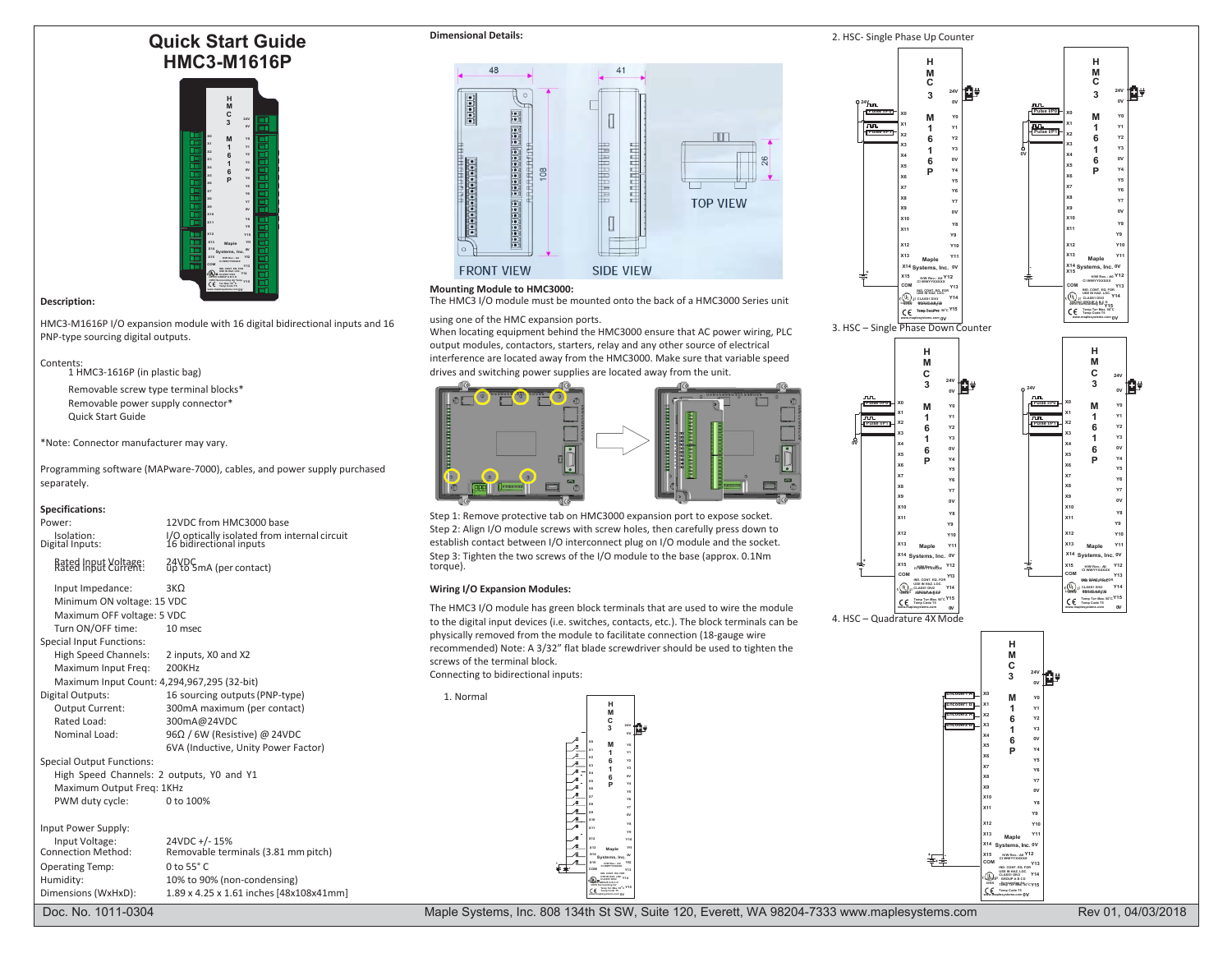# **Quick Start Guide HMC3-M1616P**



HMC3-M1616P I/O expansion module with 16 digital bidirectional inputs and 16 PNP-type sourcing digital outputs.

# Contents: 1 HMC3-1616P (in plastic bag)

Removable screw type terminal blocks\* Removable power supply connector\* Quick Start Guide

\*Note: Connector manufacturer may vary.

Programming software (MAPware-7000), cables, and power supply purchased separately.

## **Specifications:**

| Power:<br>Isolation:<br>Digital Inputs:<br>Rated Input Yoltage:                                                                                                                            | 12VDC from HMC3000 base<br>I/O optically isolated from internal circuit<br>16 bidirectional inputs<br>24YDSmA (per contact)                                                                                   | Step 1: Remove protective tab on HMC3000 expansion port to expose socket.<br>Step 2: Align I/O module screws with screw holes, then carefully press down to<br>establish contact between I/O interconnect plug on I/O module and the socket.<br>Step 3: Tighten the two screws of the I/O module to the base (approx. 0.1Nm)<br>torque).                                                                                                                    | X11<br>Y9<br>X12<br><b>Y10</b><br>X <sub>13</sub><br>Maple<br>X14 Systems, Inc. 0V<br>X15<br>c/WWPPxidBox<br>COM |
|--------------------------------------------------------------------------------------------------------------------------------------------------------------------------------------------|---------------------------------------------------------------------------------------------------------------------------------------------------------------------------------------------------------------|-------------------------------------------------------------------------------------------------------------------------------------------------------------------------------------------------------------------------------------------------------------------------------------------------------------------------------------------------------------------------------------------------------------------------------------------------------------|------------------------------------------------------------------------------------------------------------------|
| Input Impedance:<br>Minimum ON voltage: 15 VDC<br>Maximum OFF voltage: 5 VDC<br>Turn ON/OFF time:<br><b>Special Input Functions:</b><br><b>High Speed Channels:</b><br>Maximum Input Freq: | $3K\Omega$<br>10 msec<br>2 inputs, X0 and X2<br>200KHz<br>Maximum Input Count: 4,294,967,295 (32-bit)                                                                                                         | <b>Wiring I/O Expansion Modules:</b><br>The HMC3 I/O module has green block terminals that are used to wire the module<br>to the digital input devices (i.e. switches, contacts, etc.). The block terminals can be<br>physically removed from the module to facilitate connection (18-gauge wire<br>recommended) Note: A 3/32" flat blade screwdriver should be used to tighten the<br>screws of the terminal block.<br>Connecting to bidirectional inputs: | NO. CONT. EQ. FOR<br>USE IN HAZ LOC.<br>CC Temp Ta+ Max. 50°C Y16<br>4. HSC - Quadrature 4X Mode                 |
| Digital Outputs:<br>Output Current:<br>Rated Load:<br>Nominal Load:<br><b>Special Output Functions:</b><br>Maximum Output Freg: 1KHz<br>PWM duty cycle:                                    | 16 sourcing outputs (PNP-type)<br>300mA maximum (per contact)<br>300mA@24VDC<br>96Ω / 6W (Resistive) @ 24VDC<br>6VA (Inductive, Unity Power Factor)<br>High Speed Channels: 2 outputs, Y0 and Y1<br>0 to 100% | 1. Normal<br>н<br>M                                                                                                                                                                                                                                                                                                                                                                                                                                         | ncoderz B                                                                                                        |
| Input Power Supply:<br>Input Voltage:<br><b>Connection Method:</b><br><b>Operating Temp:</b><br>Humidity:<br>Dimensions (WxHxD):                                                           | 24VDC +/-15%<br>Removable terminals (3.81 mm pitch)<br>$0$ to 55 $\degree$ C<br>10% to 90% (non-condensing)<br>1.89 x 4.25 x 1.61 inches [48x108x41mm]                                                        | HOW News Ad<br><b>GEE IN HAZ. LOC. VILA</b><br><b>BE CLASS DIG</b><br>$-6$ Tamp Tax Max, 10 <sup>°</sup> C <sup>Y 4</sup> 1                                                                                                                                                                                                                                                                                                                                 | 起手                                                                                                               |
| Doc. No. 1011-0304                                                                                                                                                                         |                                                                                                                                                                                                               | Maple Systems, Inc. 808 134th St SW, Suite 120, Everett, WA 98204-7333 www.maplesystems.com                                                                                                                                                                                                                                                                                                                                                                 |                                                                                                                  |



## **Mounting Module to HMC3000:**

**Description:** The HMC3 I/O module must be mounted onto the back of a HMC3000 Series unit **CLASS III CLASS CONFIDENT** 

## using one of the HMC expansion ports.

When locating equipment behind the HMC3000 ensure that AC power wiring, PLC output modules, contactors, starters, relay and any other source of electrical interference are located away from the HMC3000. Make sure that variable speed drives and switching power supplies are located away from the unit.



Step 1: Remove protective tab on HMC3000 expansion port to expose socket. Step 2: Align I/O module screws with screw holes, then carefully press down to establish contact between I/O interconnect plug on I/O module and the socket. Step 3: Tighten the two screws of the I/O module to the base (approx. 0.1Nm torque). **<sup>+</sup>**

## In unit Impedance: 3KΩ **In USE IMPEDANCE:** 3K 2N **LOC. USE IMPEDANCE: USE IMPEDANCE: USE IMPEDANCE: USE IMPEDANCE: USE IMPEDANCE: USE IMPEDANCE: USE IMPEDANCE: USE**